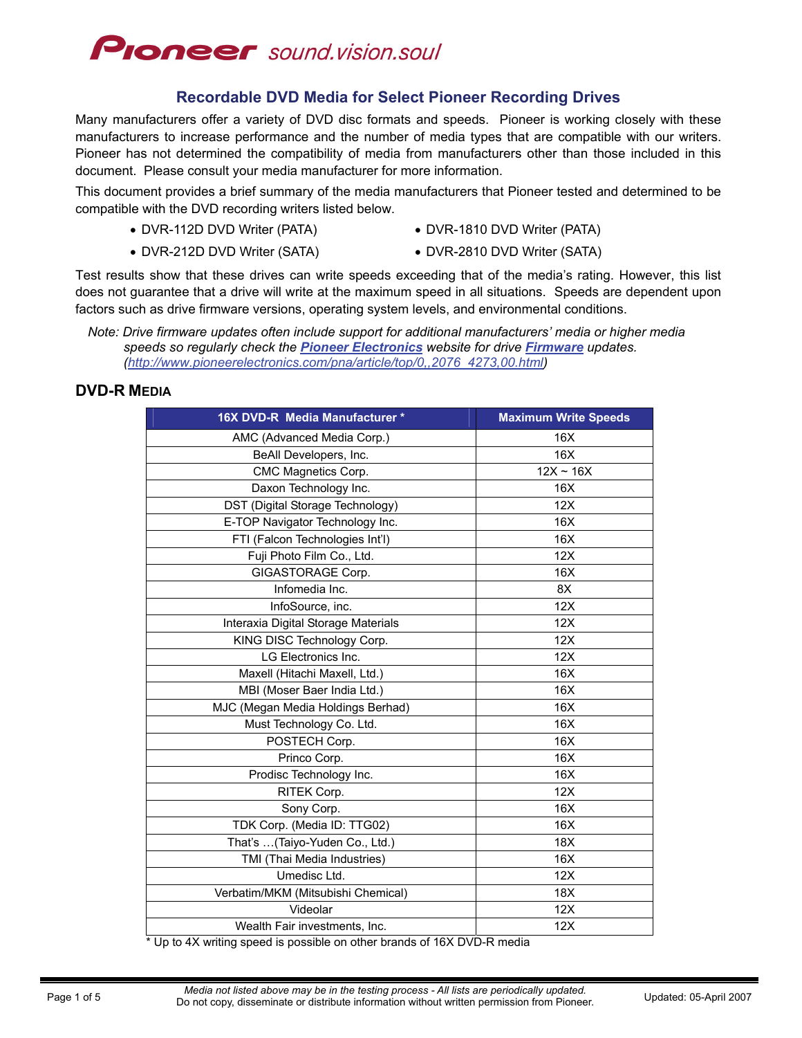

### **Recordable DVD Media for Select Pioneer Recording Drives**

Many manufacturers offer a variety of DVD disc formats and speeds. Pioneer is working closely with these manufacturers to increase performance and the number of media types that are compatible with our writers. Pioneer has not determined the compatibility of media from manufacturers other than those included in this document. Please consult your media manufacturer for more information.

This document provides a brief summary of the media manufacturers that Pioneer tested and determined to be compatible with the DVD recording writers listed below.

- 
- DVR-112D DVD Writer (PATA) DVR-1810 DVD Writer (PATA)
- 
- DVR-212D DVD Writer (SATA) DVR-2810 DVD Writer (SATA)

Test results show that these drives can write speeds exceeding that of the media's rating. However, this list does not guarantee that a drive will write at the maximum speed in all situations. Speeds are dependent upon factors such as drive firmware versions, operating system levels, and environmental conditions.

### **DVD-R MEDIA**

| 16X DVD-R Media Manufacturer *      | <b>Maximum Write Speeds</b> |
|-------------------------------------|-----------------------------|
| AMC (Advanced Media Corp.)          | 16X                         |
| BeAll Developers, Inc.              | 16X                         |
| CMC Magnetics Corp.                 | $12X \sim 16X$              |
| Daxon Technology Inc.               | 16X                         |
| DST (Digital Storage Technology)    | 12X                         |
| E-TOP Navigator Technology Inc.     | 16X                         |
| FTI (Falcon Technologies Int'l)     | 16X                         |
| Fuji Photo Film Co., Ltd.           | 12X                         |
| GIGASTORAGE Corp.                   | 16X                         |
| Infomedia Inc.                      | 8X                          |
| InfoSource, inc.                    | 12X                         |
| Interaxia Digital Storage Materials | 12X                         |
| KING DISC Technology Corp.          | 12X                         |
| LG Electronics Inc.                 | 12X                         |
| Maxell (Hitachi Maxell, Ltd.)       | 16X                         |
| MBI (Moser Baer India Ltd.)         | 16X                         |
| MJC (Megan Media Holdings Berhad)   | 16X                         |
| Must Technology Co. Ltd.            | 16X                         |
| POSTECH Corp.                       | 16X                         |
| Princo Corp.                        | 16X                         |
| Prodisc Technology Inc.             | 16X                         |
| RITEK Corp.                         | 12X                         |
| Sony Corp.                          | 16X                         |
| TDK Corp. (Media ID: TTG02)         | 16X                         |
| That's (Taiyo-Yuden Co., Ltd.)      | 18X                         |
| TMI (Thai Media Industries)         | 16X                         |
| Umedisc Ltd.                        | 12X                         |
| Verbatim/MKM (Mitsubishi Chemical)  | 18X                         |
| Videolar                            | 12X                         |
| Wealth Fair investments, Inc.       | 12X                         |

Up to 4X writing speed is possible on other brands of 16X DVD-R media

*Note: Drive firmware updates often include support for additional manufacturers' media or higher media speeds so regularly check the [Pioneer Electronics](http://www.pioneerelectronics.com/) website for drive [Firmware](http://www.pioneerelectronics.com/pna/article/top/0,,2076_4273,00.html) updates. ([http://www.pioneerelectronics.com/pna/article/top/0,,2076\\_4273,00.html\)](http://www.pioneerelectronics.com/pna/article/top/0,,2076_4273,00.html)*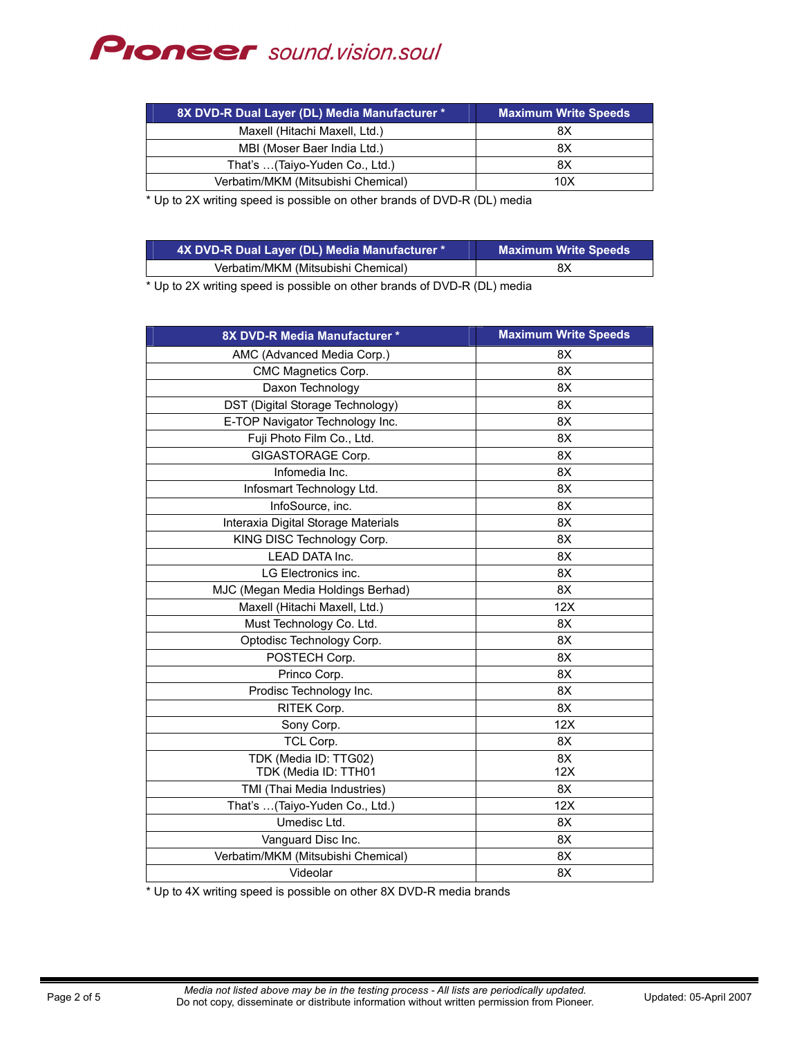# **Proneer** sound.vision.soul

| 8X DVD-R Dual Layer (DL) Media Manufacturer * | Maximum Write Speeds |
|-----------------------------------------------|----------------------|
| Maxell (Hitachi Maxell, Ltd.)                 | 8Χ                   |
| MBI (Moser Baer India Ltd.)                   | 8Χ                   |
| That's  (Taiyo-Yuden Co., Ltd.)               | 8X                   |
| Verbatim/MKM (Mitsubishi Chemical)            | 10X                  |

\* Up to 2X writing speed is possible on other brands of DVD-R (DL) media

| 4X DVD-R Dual Layer (DL) Media Manufacturer * | <b>Maximum Write Speeds</b> |
|-----------------------------------------------|-----------------------------|
| Verbatim/MKM (Mitsubishi Chemical)            | 8Χ                          |

\* Up to 2X writing speed is possible on other brands of DVD-R (DL) media

| 8X DVD-R Media Manufacturer *       | <b>Maximum Write Speeds</b> |
|-------------------------------------|-----------------------------|
| AMC (Advanced Media Corp.)          | 8X                          |
| CMC Magnetics Corp.                 | 8X                          |
| Daxon Technology                    | 8X                          |
| DST (Digital Storage Technology)    | 8X                          |
| E-TOP Navigator Technology Inc.     | 8X                          |
| Fuji Photo Film Co., Ltd.           | 8X                          |
| GIGASTORAGE Corp.                   | 8X                          |
| Infomedia Inc.                      | 8X                          |
| Infosmart Technology Ltd.           | 8X                          |
| InfoSource, inc.                    | 8X                          |
| Interaxia Digital Storage Materials | 8X                          |
| KING DISC Technology Corp.          | 8X                          |
| LEAD DATA Inc.                      | 8X                          |
| LG Electronics inc.                 | 8X                          |
| MJC (Megan Media Holdings Berhad)   | 8X                          |
| Maxell (Hitachi Maxell, Ltd.)       | 12X                         |
| Must Technology Co. Ltd.            | 8X                          |
| Optodisc Technology Corp.           | 8X                          |
| POSTECH Corp.                       | 8X                          |
| Princo Corp.                        | 8X                          |
| Prodisc Technology Inc.             | 8X                          |
| RITEK Corp.                         | 8X                          |
| Sony Corp.                          | 12X                         |
| TCL Corp.                           | 8X                          |
| TDK (Media ID: TTG02)               | 8X                          |
| TDK (Media ID: TTH01                | 12X                         |
| TMI (Thai Media Industries)         | 8X                          |
| That's (Taiyo-Yuden Co., Ltd.)      | 12X                         |
| Umedisc Ltd.                        | 8X                          |
| Vanguard Disc Inc.                  | 8X                          |
| Verbatim/MKM (Mitsubishi Chemical)  | 8X                          |
| Videolar                            | 8X                          |

\* Up to 4X writing speed is possible on other 8X DVD-R media brands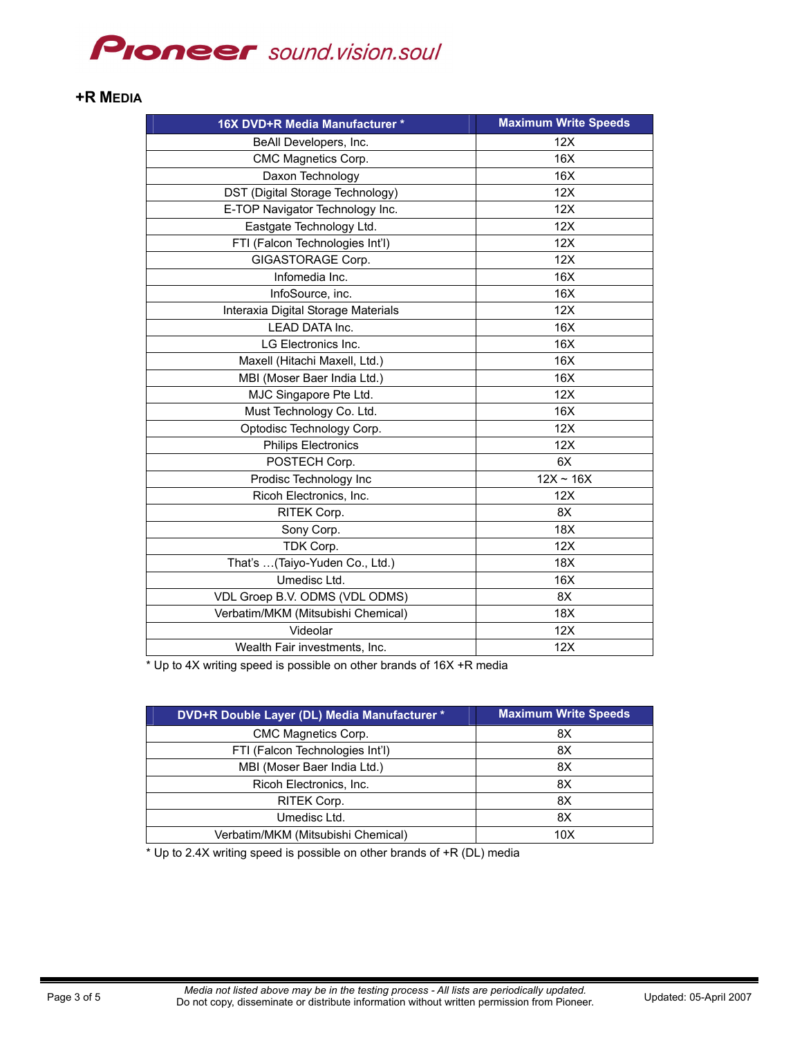# **PIONEEF** sound.vision.soul

### **+R MEDIA**

| 16X DVD+R Media Manufacturer *      | <b>Maximum Write Speeds</b> |
|-------------------------------------|-----------------------------|
| BeAll Developers, Inc.              | 12X                         |
| CMC Magnetics Corp.                 | 16X                         |
| Daxon Technology                    | 16X                         |
| DST (Digital Storage Technology)    | 12X                         |
| E-TOP Navigator Technology Inc.     | 12X                         |
| Eastgate Technology Ltd.            | 12X                         |
| FTI (Falcon Technologies Int'l)     | 12X                         |
| GIGASTORAGE Corp.                   | 12X                         |
| Infomedia Inc.                      | 16X                         |
| InfoSource, inc.                    | 16X                         |
| Interaxia Digital Storage Materials | 12X                         |
| LEAD DATA Inc.                      | 16X                         |
| LG Electronics Inc.                 | 16X                         |
| Maxell (Hitachi Maxell, Ltd.)       | 16X                         |
| MBI (Moser Baer India Ltd.)         | 16X                         |
| MJC Singapore Pte Ltd.              | 12X                         |
| Must Technology Co. Ltd.            | 16X                         |
| Optodisc Technology Corp.           | 12X                         |
| <b>Philips Electronics</b>          | 12X                         |
| POSTECH Corp.                       | 6X                          |
| Prodisc Technology Inc              | $12X \sim 16X$              |
| Ricoh Electronics, Inc.             | 12X                         |
| RITEK Corp.                         | 8X                          |
| Sony Corp.                          | 18X                         |
| TDK Corp.                           | 12X                         |
| That's (Taiyo-Yuden Co., Ltd.)      | 18X                         |
| Umedisc Ltd.                        | 16X                         |
| VDL Groep B.V. ODMS (VDL ODMS)      | 8X                          |
| Verbatim/MKM (Mitsubishi Chemical)  | 18X                         |
| Videolar                            | 12X                         |
| Wealth Fair investments, Inc.       | 12X                         |

\* Up to 4X writing speed is possible on other brands of 16X +R media

| DVD+R Double Layer (DL) Media Manufacturer * | <b>Maximum Write Speeds</b> |
|----------------------------------------------|-----------------------------|
| CMC Magnetics Corp.                          | 8Χ                          |
| FTI (Falcon Technologies Int'l)              | 8Χ                          |
| MBI (Moser Baer India Ltd.)                  | 8X                          |
| Ricoh Electronics, Inc.                      | 8Χ                          |
| <b>RITEK Corp.</b>                           | 8X                          |
| Umedisc Ltd.                                 | 8Χ                          |
| Verbatim/MKM (Mitsubishi Chemical)           | 10 <sub>X</sub>             |

\* Up to 2.4X writing speed is possible on other brands of +R (DL) media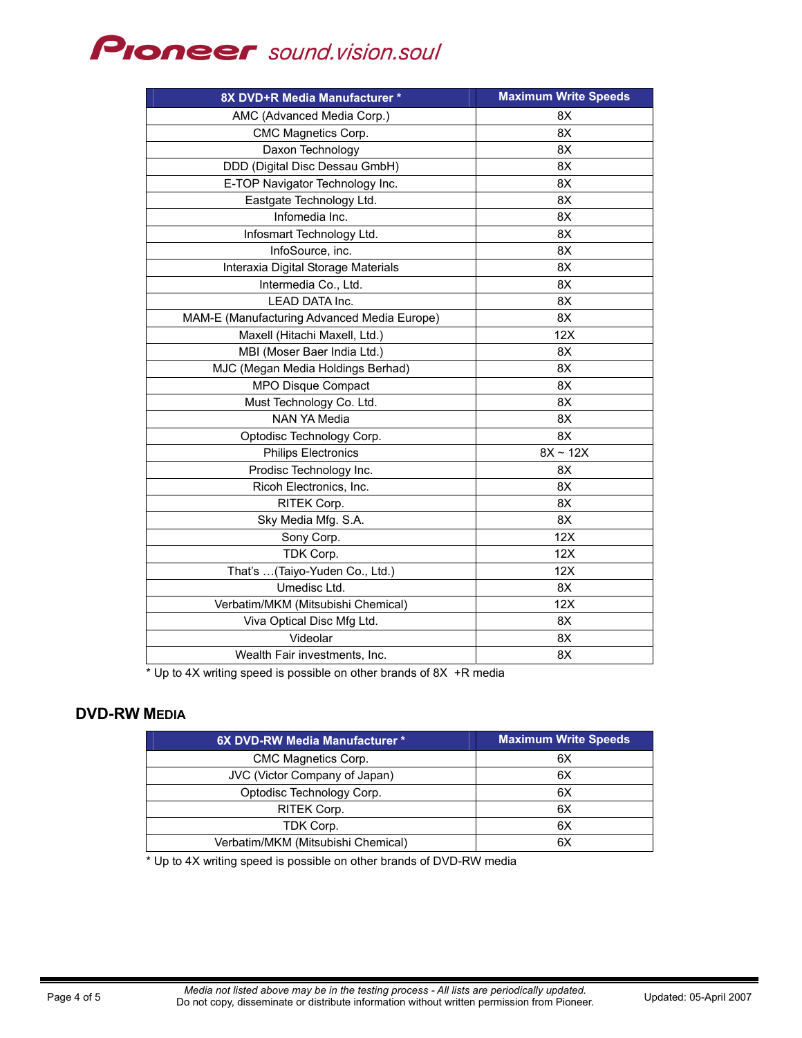# **PIONEEF** sound.vision.soul

| 8X DVD+R Media Manufacturer *               | <b>Maximum Write Speeds</b> |
|---------------------------------------------|-----------------------------|
| AMC (Advanced Media Corp.)                  | 8X                          |
| CMC Magnetics Corp.                         | 8X                          |
| Daxon Technology                            | 8X                          |
| DDD (Digital Disc Dessau GmbH)              | 8X                          |
| E-TOP Navigator Technology Inc.             | 8X                          |
| Eastgate Technology Ltd.                    | 8X                          |
| Infomedia Inc.                              | 8X                          |
| Infosmart Technology Ltd.                   | 8X                          |
| InfoSource, inc.                            | 8X                          |
| Interaxia Digital Storage Materials         | 8X                          |
| Intermedia Co., Ltd.                        | 8X                          |
| LEAD DATA Inc.                              | 8X                          |
| MAM-E (Manufacturing Advanced Media Europe) | 8X                          |
| Maxell (Hitachi Maxell, Ltd.)               | 12X                         |
| MBI (Moser Baer India Ltd.)                 | 8X                          |
| MJC (Megan Media Holdings Berhad)           | 8X                          |
| MPO Disque Compact                          | 8X                          |
| Must Technology Co. Ltd.                    | 8X                          |
| <b>NAN YA Media</b>                         | 8X                          |
| Optodisc Technology Corp.                   | 8X                          |
| <b>Philips Electronics</b>                  | $8X \sim 12X$               |
| Prodisc Technology Inc.                     | 8X                          |
| Ricoh Electronics, Inc.                     | 8X                          |
| RITEK Corp.                                 | 8X                          |
| Sky Media Mfg. S.A.                         | 8X                          |
| Sony Corp.                                  | 12X                         |
| TDK Corp.                                   | 12X                         |
| That's (Taiyo-Yuden Co., Ltd.)              | 12X                         |
| Umedisc Ltd.                                | 8X                          |
| Verbatim/MKM (Mitsubishi Chemical)          | 12X                         |
| Viva Optical Disc Mfg Ltd.                  | 8X                          |
| Videolar                                    | 8X                          |
| Wealth Fair investments, Inc.               | 8X                          |

\* Up to 4X writing speed is possible on other brands of 8X +R media

## **DVD-RW MEDIA**

| 6X DVD-RW Media Manufacturer *     | <b>Maximum Write Speeds</b> |
|------------------------------------|-----------------------------|
| CMC Magnetics Corp.                | 6X                          |
| JVC (Victor Company of Japan)      | 6X                          |
| Optodisc Technology Corp.          | 6X                          |
| RITEK Corp.                        | 6X                          |
| TDK Corp.                          | 6X                          |
| Verbatim/MKM (Mitsubishi Chemical) | 6X                          |

\* Up to 4X writing speed is possible on other brands of DVD-RW media